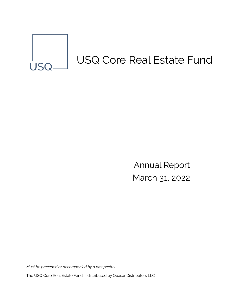

Annual Report March 31, 2022

*Must be preceded or accompanied by a prospectus.*  The USQ Core Real Estate Fund is distributed by Quasar Distributors LLC.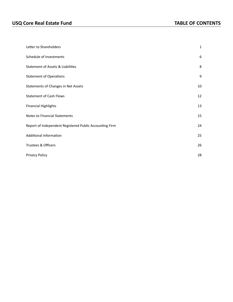| Letter to Shareholders                                  | 1  |
|---------------------------------------------------------|----|
| Schedule of Investments                                 | 6  |
| <b>Statement of Assets &amp; Liabilities</b>            | 8  |
| <b>Statement of Operations</b>                          | 9  |
| Statements of Changes in Net Assets                     | 10 |
| <b>Statement of Cash Flows</b>                          | 12 |
| <b>Financial Highlights</b>                             | 13 |
| <b>Notes to Financial Statements</b>                    | 15 |
| Report of Independent Registered Public Accounting Firm | 24 |
| Additional Information                                  | 25 |
| Trustees & Officers                                     | 26 |
| Privacy Policy                                          | 28 |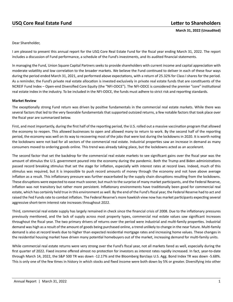## **USQ Core Real Estate Fund Letter to Shareholders**

<span id="page-3-0"></span>**March 31, 2022 (Unaudited)**

Dear Shareholder,

I am pleased to present this annual report for the USQ Core Real Estate Fund for the fiscal year ending March 31, 2022. The report includes a discussion of Fund performance, a schedule of the Fund's investments, and its audited financial statements.

In managing the Fund, Union Square Capital Partners seeks to provide shareholders with current income and capital appreciation with moderate volatility and low correlation to the broader markets. We believe the Fund continued to deliver in each of these four ways during the period ended March 31, 2021, and performed above expectations, with a return of 25.32% for Class I shares for the period. As a reminder, the Fund's private real estate allocation is invested exclusively in private real estate funds that are constituents of the NCREIF Fund Index – Open-end Diversified Core Equity (the "NFI-ODCE"). The NFI-ODCE is considered the premier "core" institutional real estate index in the industry. To be included in the NFI-ODCE, the funds must adhere to strict risk and reporting standards.

#### **Market Review**

The exceptionally strong Fund return was driven by positive fundamentals in the commercial real estate markets. While there was several factors that led to the very favorable fundamentals that supported outsized returns, a few notable factors that took place over the fiscal year are summarized below.

First, and most importantly, during the first half of the reporting period, the U.S. rolled out a massive vaccination program that allowed the economy to reopen. This allowed businesses to open and allowed many to return to work. By the second half of the reporting period, the economy was well on its way to recovering most of the jobs that were lost during the lockdowns in 2020. It is worth noting the lockdowns were not bad for all sectors of the commercial real estate. Industrial properties saw an increase in demand as many consumers moved to ordering goods online. This trend was already taking place, but the lockdowns acted as an accelerant.

The second factor that set the backdrop for the commercial real estate markets to see significant gains over the fiscal year was the amount of stimulus the U.S. government poured into the economy during the pandemic. Both the Trump and Biden administrations passed record breaking stimulus that set the stage for inflation, especially with interest rates at record lows. Indeed, much of this stimulus was required, but it is impossible to push record amounts of money through the economy and not have above average inflation as a result. This inflationary pressure was further exacerbated by the supply chain disruptions resulting from the lockdowns. These disruptions were expected to ease much sooner, but much to the surprise of many market participants, and the Federal Reserve, inflation was not transitory but rather more persistent. Inflationary environments have traditionally been good for commercial real estate, which has certainly held true in this environment as well. By the end of the Fund's fiscal year, the Federal Reserve had to act and raised the Fed Funds rate to combat inflation. The Federal Reserve's more hawkish view now has market participants expecting several aggressive short-term interest rate increases throughout 2022.

Third, commercial real estate supply has largely remained in check since the financial crisis of 2008. Due to the inflationary pressures previously mentioned, and the lack of supply across most property types, commercial real estate values saw significant increases throughout the fiscal year. The two primary drivers of returns over the period were industrial and multi-family properties. Industrial demand was high as a result of the amount of goods being purchased online, a trend unlikely to change in the near future. Multi-family demand is also at record levels due to higher than expected residential mortgage rates and increasing home values. These changes in the residential housing market have driven many potential homebuyers out of the market, increasing demand for multi-family units.

While commercial real estate returns were very strong over the Fund's fiscal year, not all markets fared as well, especially during the first quarter of 2022. Fixed income offered almost no protection for investors as interest rates rapidly increased. In fact, year-to-date through March 14, 2022, the S&P 500 TR was down -12.17% and the Bloomberg Barclays U.S. Agg. Bond Index TR was down -5.68%. This is only one of the few times in history in which stocks and fixed income were both down by 5% or greater. Diversifying into other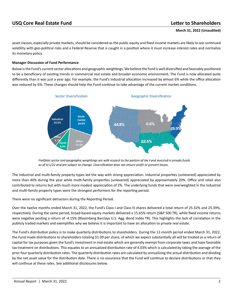asset classes, especially private markets, should be considered as the public equity and fixed income markets are likely to see continued volatility with geo-political risks and a Federal Reserve that is caught in a position where it must increase interest rates and normalize its monetary policy.

### **Manager Discussion of Fund Performance**

Below is the Fund's current sector allocations and geographic weightings. We believe the fund is well diversified and favorably positioned to be a beneficiary of existing trends in commercial real estate and broader economic environment. The Fund is now allocated quite differently than it was just a year ago. For example, the Fund's industrial allocation increased by almost 6% while the office allocation was reduced by 6%. These changes should help the Fund continue to take advantage of the current market conditions.



Portfolio sector and geographic weightings are with respect to the portion of the Fund invested in private funds as of 4/1/22 and are subject to change. Diversification does not ensure profit or prevent losses.

The industrial and multi-family property types led the way with strong appreciation. Industrial properties (unlevered) appreciated by more than 40% during the year while multi-family properties (unlevered) appreciated by approximately 20%. Office and retail also contributed to returns but with much more modest appreciation of 2%. The underlying funds that were overweighted in the industrial and multi-family property types were the strongest performers for the reporting period.

There were no significant detractors during the Reporting Period.

Over the twelve months ended March 31, 2022, the Fund's Class I and Class IS shares delivered a total return of 25.32% and 25.39%, respectively. During the same period, broad-based equity markets delivered a 15.65% return (S&P 500 TR), while fixed income returns were negative posting a return of -4.15% (Bloomberg Barclays U.S. Agg. Bond Index TR). This highlights the lack of correlation in the publicly traded markets and exemplifies why we believe it is important to have an allocation to private real estate.

The Fund's distribution policy is to make quarterly distributions to shareholders. During the 12-month period ended March 31, 2022, the Fund made distributions to shareholders totaling \$1.09 per share, of which we expect substantially all will be treated as a return of capital for tax purposes given the fund's investment in real estate which are generally exempt from corporate taxes and have favorable tax treatment on distributions. This equates to an annualized distribution rate of 4.03% which is calculated by taking the average of the prior four quarterly distribution rates. The quarterly distribution rates are calculated by annualizing the actual distribution and dividing by the net asset value for the distribution date. There is no assurance that the Fund will continue to declare distributions or that they will continue at these rates. See additional disclosures below.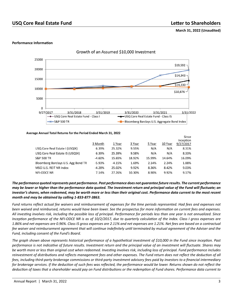## **USQ Core Real Estate Fund Letter to Shareholders**

#### **Performance Information**



Average Annual Total Returns for the Period Ended March 31, 2022

|                                     |          |          |        |        |         | Since<br>Inception |
|-------------------------------------|----------|----------|--------|--------|---------|--------------------|
|                                     | 3 Month  | 1 Year   | 3 Year | 5 Year | 10 Year | 9/27/2017          |
| USQ Core Real Estate I (USQIX)      | 6.39%    | 25.32%   | 9.55%  | N/A    | N/A     | 8.31%              |
| USQ Core Real Estate IS (USQSX)     | 6.39%    | 25.39%   | 9.58%  | N/A    | N/A     | 8.33%              |
| <b>S&amp;P 500 TR</b>               | -4.60%   | 15.65%   | 18.92% | 15.99% | 14.64%  | 16.09%             |
| Bloomberg Barclays U.S. Agg Bond TR | $-5.93%$ | $-4.15%$ | 1.69%  | 2.14%  | 2.24%   | 1.88%              |
| MSCLU.S. REIT NR Index              | $-4.28%$ | 25.02%   | 9.92%  | 8.36%  | 8.42%   | 9.03%              |
| NFI-ODCE NR                         | 7.14%    | 27.26%   | 10.30% | 8.90%  | 9.92%   | 9.17%              |

*The performance quoted represents past performance. Past performance does not guarantee future results. The current performance may be lower or higher than the performance data quoted. The investment return and principal value of the Fund will fluctuate; an investor's shares, when redeemed, may be worth more or less than their original cost. Performance data current to the most recent month end may be obtained by calling 1-833-877-3863.* 

*Fund returns reflect actual fee waivers and reimbursement of expenses for the time periods represented. Had fees and expenses not been waived and reimbursed, returns would have been lower. See the prospectus for more information on current fees and expenses. All investing involves risk, including the possible loss of principal. Performance for periods less than one year is not annualized. Since Inception performance of the NFI-ODCE NR is as of 10/2/2017, due to quarterly calculation of the index. Class I gross expenses are 1.86% and net expenses are 0.96%. Class IS gross expenses are 2.11% and net expenses are 1.21%. Net fees are based on a contractual fee waiver and reimbursement agreement that will continue indefinitely until terminated by mutual agreement of the Adviser and the Fund, including consent of the Fund's Board.*

*The graph shown above represents historical performance of a hypothetical investment of \$10,000 in the Fund since inception. Past performance is not indicative of future results. Investment return and the principal value of an investment will fluctuate. Shares may be worth more or less than original cost when redeemed. Investing involves risk, including loss of principal. Fund performance includes reinvestment of distributions and reflects management fees and other expenses. The Fund return does not reflect the deduction of all fees, including third-party brokerage commissions or third-party investment advisory fees paid by investors to a financial intermediary for brokerage services. If the deduction of such fees was reflected, the performance would be lower. Returns shown do not reflect the deduction of taxes that a shareholder would pay on Fund distributions or the redemption of Fund shares. Performance data current to*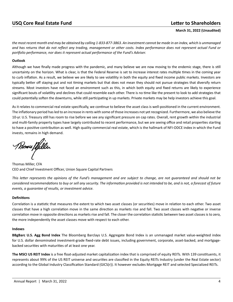*the most recent month end may be obtained by calling 1-833-877-3863. An investment cannot be made in an index, which is unmanaged and has returns that do not reflect any trading, management or other costs. Index performance does not represent actual Fund or portfolio performance, nor does it represent actual performance of the Fund's Adviser.*

#### **Outlook**

Although we have finally made progress with the pandemic, and many believe we are now moving to the endemic stage, there is still uncertainty on the horizon. What is clear, is that the Federal Reserve is set to increase interest rates multiple times in the coming year to curb inflation. As a result, we believe we are likely to see volatility in both the equity and fixed income public markets. Investors are typically better off staying put and not timing markets but that does not mean they should not pursue strategies that diversify return streams. Most investors have not faced an environment such as this, in which both equity and fixed returns are likely to experience significant bouts of volatility and declines that could resemble each other. There is no time like the present to look to add strategies that could potentially soften the downturns, while still participating in up markets. Private markets may be help investors achieve this goal.

As it relates to commercial real estate specifically, we continue to believe the asset class is well-positioned in the current environment. The inflationary period has led to an increase in rents with some of those increases not yet recognized. Furthermore, we also believe the 10-yr. U.S. Treasury still has room to rise before we see any significant pressure on cap rates. Overall, rent growth within the industrial and multi-family property types have largely contributed to recent performance, but we are seeing office and retail properties starting to have a positive contribution as well. High quality commercial real estate, which is the hallmark of NFI-ODCE index in which the Fund invests, remains in high demand.

*Moras fifelle*r

Thomas Miller, CFA CEO and Chief Investment Officer, Union Square Capital Partners

*This letter represents the opinions of the Fund's management and are subject to change, are not guaranteed and should not be considered recommendations to buy or sell any security. The information provided is not intended to be, and is not, a forecast of future events, a guarantee of results, or investment advice.*

#### **Definitions**

Correlation is a statistic that measures the extent to which two asset classes (or securities) move in relation to each other. Two asset classes that have a high correlation move in the same direction as markets rise and fall. Two asset classes with negative or inverse correlation move in opposite directions as markets rise and fall. The closer the correlation statistic between two asset classes is to zero, the more independently the asset classes move with respect to each other.

#### **Indexes**

**BBgBarc U.S. Agg Bond Index** The Bloomberg Barclays U.S. Aggregate Bond Index is an unmanaged market value-weighted index for U.S. dollar denominated investment-grade fixed-rate debt issues, including government, corporate, asset-backed, and mortgagebacked securities with maturities of at least one year.

**The MSCI US REIT Index** is a free float-adjusted market capitalization index that is comprised of equity REITs. With 139 constituents, it represents about 99% of the US REIT universe and securities are classified in the Equity REITs Industry (under the Real Estate sector) according to the Global Industry Classification Standard (GICS(r)). It however excludes Mortgage REIT and selected Specialized REITs.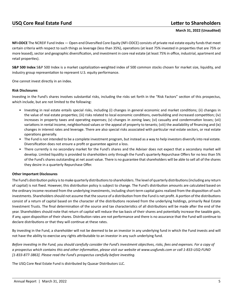**NFI-ODCE** The NCREIF Fund Index — Open-end Diversified Core Equity (NFI-ODCE) consists of private real estate equity funds that meet certain criteria with respect to such things as leverage (less than 35%), operations (at least 75% invested in properties that are 75% or more leased), sector and geographic diversification, and investment in core real estate (at least 75% in office, industrial, apartment and retail properties).

**S&P 500 Index** S&P 500 Index is a market capitalization-weighted index of 500 common stocks chosen for market size, liquidity, and industry group representation to represent U.S. equity performance.

One cannot invest directly in an index.

### **Risk Disclosures**

Investing in the Fund's shares involves substantial risks, including the risks set forth in the "Risk Factors" section of this prospectus, which include, but are not limited to the following:

- Investing in real estate entails special risks, including (i) changes in general economic and market conditions; (ii) changes in the value of real estate properties; (iii) risks related to local economic conditions, overbuilding and increased competition; (iv) increases in property taxes and operating expenses; (v) changes in zoning laws; (vi) casualty and condemnation losses; (vii) variations in rental income, neighborhood values or the appeal of property to tenants; (viii) the availability of financing and (ix) changes in interest rates and leverage. There are also special risks associated with particular real estate sectors, or real estate operations generally.
- The Fund is not intended to be a complete investment program, but instead as a way to help investors diversify into real estate. Diversification does not ensure a profit or guarantee against a loss.
- There currently is no secondary market for the Fund's shares and the Adviser does not expect that a secondary market will develop. Limited liquidity is provided to shareholders only through the Fund's quarterly Repurchase Offers for no less than 5% of the Fund's shares outstanding at net asset value. There is no guarantee that shareholders will be able to sell all of the shares they desire in a quarterly Repurchase Offer.

#### **Other Important Disclosures**

The Fund's distribution policy is to make quarterly distributions to shareholders. The level of quarterly distributions (including any return of capital) is not fixed. However, this distribution policy is subject to change. The Fund's distribution amounts are calculated based on the ordinary income received from the underlying investments, including short-term capital gains realized from the disposition of such investments. Shareholders should not assume that the source of a distribution from the Fund is net profit. A portion of the distributions consist of a return of capital based on the character of the distributions received from the underlying holdings, primarily Real Estate Investment Trusts. The final determination of the source and tax characteristics of all distributions will be made after the end of the year. Shareholders should note that return of capital will reduce the tax basis of their shares and potentially increase the taxable gain, if any, upon disposition of their shares. Distribution rates are not performance and there is no assurance that the Fund will continue to declare distributions or that they will continue at these rates.

By investing in the Fund, a shareholder will not be deemed to be an investor in any underlying fund in which the Fund invests and will not have the ability to exercise any rights attributable to an investor in any such underlying fund.

*Before investing in the Fund, you should carefully consider the Fund's investment objectives, risks, fees and expenses. For a copy of a prospectus which contains this and other information, please visit our website at www.usqfunds.com or call 1-833-USQ-FUND [1-833-877-3863]. Please read the Fund's prospectus carefully before investing.*

The USQ Core Real Estate Fund is distributed by Quasar Distributors LLC.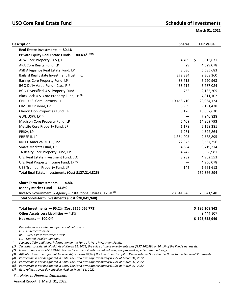## USQ Core Real Estate Fund<br> **USQ Core Real Estate Fund**

<span id="page-8-0"></span>**March 31, 2022** 

| <b>Description</b>                                            | <b>Shares</b> | <b>Fair Value</b> |
|---------------------------------------------------------------|---------------|-------------------|
| Real Estate Investments - 80.4%                               |               |                   |
| Private Equity Real Estate Funds - 80.4%* (1)(2)              |               |                   |
| AEW Core Property (U.S.), L.P.                                | 4,409         | \$<br>5,613,631   |
| ARA Core Realty Fund, LP                                      | 29            | 4,529,078         |
| ASB Allegiance Real Estate Fund, LP                           | 3,036         | 5,585,683         |
| Bailard Real Estate Investment Trust, Inc.                    | 272,334       | 9,308,360         |
| Barings Core Property Fund, LP                                | 38,715        | 6,220,963         |
| BGO Daily Value Fund - Class F (3)                            | 468,712       | 6,787,084         |
| BGO Diversified U.S. Property Fund                            | 752           | 2,185,205         |
| BlackRock U.S. Core Property Fund, LP <sup>(4)</sup>          |               | 7,811,102         |
| CBRE U.S. Core Partners, LP                                   | 10,458,710    | 20,964,124        |
| CIM UII Onshore, LP                                           | 5,939         | 9,191,478         |
| Clarion Lion Properties Fund, LP                              | 8,126         | 15,687,630        |
| GWL USPF, LP <sup>(5)</sup>                                   |               | 7,946,828         |
| Madison Core Property Fund, LP                                | 5,409         | 14,869,793        |
| MetLife Core Property Fund, LP                                | 1,178         | 2,158,381         |
| PRISA, LP                                                     | 1,961         | 4,522,864         |
| PRREF II, LP                                                  | 1,354,005     | 2,588,895         |
| RREEF America REIT II, Inc.                                   | 22,373        | 3,537,356         |
| Smart Markets Fund, LP                                        | 4,684         | 9,719,214         |
| TA Realty Core Property Fund, LP                              | 4,242         | 6,558,981         |
| U.S. Real Estate Investment Fund, LLC                         | 3,282         | 4,962,553         |
| U.S. Real Property Income Fund, LP (6)                        |               | 4,956,078         |
| UBS Trumbull Property Fund, LP                                | 142           | 1,661,613         |
| Total Real Estate Investments (Cost \$127,214,825)            |               | 157,366,894       |
|                                                               |               |                   |
| Short-Term Investments - 14.8%                                |               |                   |
| Money Market Fund - 14.8%                                     |               |                   |
| Invesco Government & Agency - Institutional Shares, 0.25% (7) | 28,841,948    | 28,841,948        |
| Total Short-Term Investments (Cost \$28,841,948)              |               |                   |
| Total Investments - 95.2% (Cost \$156,056,773)                |               | \$186,208,842     |
| Other Assets Less Liabilities - 4.8%                          |               | 9,444,107         |
| Net Assets $-100.0%$                                          |               | \$195,652,949     |
|                                                               |               |                   |

*Percentages are stated as a percent of net assets. LP - Limited Partnership REIT - Real Estate Investment Trust LLC - Limited Liability Company \* See page 7 for additional information on the Fund's Private Investment Funds.* 

*(1) Securities considered illiquid. As of March 31, 2022, the value of these investments was \$157,366,894 or 80.4% of the Fund's net assets.*

*(2) In accordance with ASC 820-10, Private Investment Funds are valued using the practical expedient methodology.*

*(3) Affiliated investment for which ownership exceeds 69% of the investment's capital. Please refer to Note 4 in the Notes to the Financial Statements.*

*(4) Partnership is not designated in units. The Fund owns approximately 0.27% at March 31, 2022.*

*(5) Partnership is not designated in units. The Fund owns approximately 0.75% at March 31, 2022.*

*(6) Partnership is not designated in units. The Fund owns approximately 0.20% at March 31, 2022.*

*(7) Rate reflects seven-day effective yield on March 31, 2022.*

*See Notes to Financial Statements.*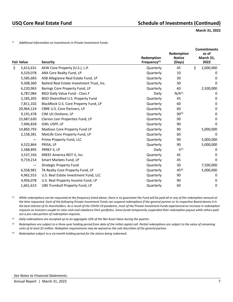*\* Additional Information on Investments in Private Investment Funds:*

|                   |                                            | Redemption      | Redemption<br><b>Notice</b> | <b>Commitments</b><br>as of<br>March 31, |
|-------------------|--------------------------------------------|-----------------|-----------------------------|------------------------------------------|
| <b>Fair Value</b> | <b>Security</b>                            | Frequency $(1)$ | (Days)                      | 2022                                     |
| \$<br>5,613,631   | AEW Core Property (U.S.), L.P.             | Quarterly       | 45                          | \$<br>2,000,000                          |
| 4,529,078         | ARA Core Realty Fund, LP                   | Quarterly       | 10                          | 0                                        |
| 5,585,683         | ASB Allegiance Real Estate Fund, LP        | Quarterly       | 30                          | 0                                        |
| 9,308,360         | Bailard Real Estate Investment Trust, Inc. | Quarterly       | 30                          | 0                                        |
| 6,220,963         | Barings Core Property Fund, LP             | Quarterly       | 60                          | 2,500,000                                |
| 6,787,084         | <b>BGO Daily Value Fund - Class F</b>      | Daily           | N/A <sup>(2)</sup>          | 0                                        |
| 2,185,205         | BGO Diversified U.S. Property Fund         | Quarterly       | 45                          | $\Omega$                                 |
| 7,811,102         | BlackRock U.S. Core Property Fund, LP      | Quarterly       | 60                          | 0                                        |
| 20,964,124        | CBRE U.S. Core Partners, LP                | Quarterly       | 60                          | 0                                        |
| 9,191,478         | CIM UII Onshore, LP                        | Quarterly       | $90^{(3)}$                  | 0                                        |
| 15,687,630        | Clarion Lion Properties Fund, LP           | Quarterly       | 90                          | 0                                        |
| 7,946,828         | GWL USPF, LP                               | Quarterly       | 90                          | 0                                        |
| 14,869,793        | Madison Core Property Fund LP              | Quarterly       | 90                          | 5,000,000                                |
| 2,158,381         | MetLife Core Property Fund, LP             | Quarterly       | 60                          | 0                                        |
|                   | Prime Property Fund, LLC                   | Quarterly       | 90                          | 5,000,000                                |
| 4,522,864         | PRISA, LP                                  | Quarterly       | 90                          | 5,000,000                                |
| 2,588,895         | PRREF II, LP                               | Daily           | $5^{(2)}$                   | 0                                        |
| 3,537,356         | RREEF America REIT II, Inc.                | Quarterly       | 45                          | 0                                        |
| 9,719,214         | Smart Markets Fund, LP                     | Quarterly       | 45                          | 0                                        |
|                   | <b>Strategic Property Fund</b>             | Quarterly       | 30                          | 7,500,000                                |
| 6,558,981         | TA Realty Core Property Fund, LP           | Quarterly       | $45^{(4)}$                  | 5,000,000                                |
| 4,962,553         | U.S. Real Estate Investment Fund, LLC      | Quarterly       | 90                          | 0                                        |
| 4,956,078         | U.S. Real Property Income Fund, LP         | Quarterly       | 90                          | 0                                        |
| 1,661,613         | UBS Trumbull Property Fund, LP             | Quarterly       | 60                          | 0                                        |

*(1) While redemptions can be requested at the frequency listed above, there is no guarantee the Fund will be paid all or any of the redemption amount at the time requested. Each of the following Private Investment Funds can suspend redemptions if the general partner or its respective Board deems it in the best interest of its shareholders. As a result of the COVID-19 pandemic, most of the Private Investment Funds experienced an increase in redemption requests as investors sought to raise cash and rebalance their portfolios. Some funds temporarily suspended their redemption payout while others paid out a pro-rata portion of redemption requests.*

*(2) Daily redemptions are accepted up to an aggregate 10% of the Net Asset Value during the quarter.*

*(3) Redemptions are subject to a three-year holding period from date of the initial capital call. Partial redemptions are subject to the value of remaining units of at least \$5 million. Redeption requirements may be waived as the sole discretion of the general partner.*

*(4) Redemption subject to a six-month holding period for the shares being redeemed.*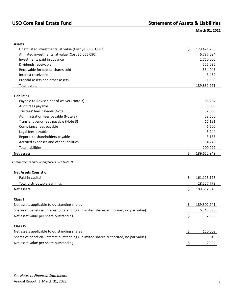<span id="page-10-0"></span>

| <b>Assets</b>                                                                         |    |             |
|---------------------------------------------------------------------------------------|----|-------------|
| Unaffiliated investments, at value (Cost \$150,001,683)                               | \$ | 179,421,758 |
| Affiliated investments, at value (Cost \$6,055,090)                                   |    | 6,787,084   |
| Investments paid in advance                                                           |    | 2,750,000   |
| Dividends receivable                                                                  |    | 525,036     |
| Receivable for capital shares sold                                                    |    | 334,045     |
| Interest receivable                                                                   |    | 3,459       |
| Prepaid assets and other assets                                                       |    | 31,589      |
| Total assets                                                                          |    | 189,852,971 |
| <b>Liabilities</b>                                                                    |    |             |
| Payable to Adviser, net of waiver (Note 3)                                            |    | 66,234      |
| Audit fees payable                                                                    |    | 33,000      |
| Trustees' fees payable (Note 3)                                                       |    | 32,000      |
| Administration fees payable (Note 3)                                                  |    | 23,500      |
| Transfer agency fees payable (Note 3)                                                 |    | 16,121      |
| Compliance fees payable                                                               |    | 6,500       |
| Legal fees payable                                                                    |    | 5,244       |
| Reports to shareholders payable                                                       |    | 3,183       |
| Accrued expenses and other liabilities                                                |    | 14,240      |
| <b>Total liabilities</b>                                                              |    | 200,022     |
| <b>Net assets</b>                                                                     | \$ | 189,652,949 |
|                                                                                       |    |             |
| Commitments and Contingencies (See Note 7).                                           |    |             |
| <b>Net Assets Consist of</b>                                                          |    |             |
| Paid-in capital                                                                       | \$ | 161,125,176 |
| Total distributable earnings                                                          |    | 28,527,773  |
| <b>Net assets</b>                                                                     | \$ | 189,652,949 |
|                                                                                       |    |             |
| Class I                                                                               |    |             |
| Net assets applicable to outstanding shares                                           |    | 189,502,941 |
| Shares of beneficial interest outstanding (unlimited shares authorized, no par value) |    | 6,345,390   |
| Net asset value per share outstanding                                                 |    | 29.86       |
| <b>Class IS</b>                                                                       |    |             |
| Net assets applicable to outstanding shares                                           | Ş  | 150,008     |
| Shares of beneficial interest outstanding (unlimited shares authorized, no par value) |    | 5,013       |
|                                                                                       |    |             |
| Net asset value per share outstanding                                                 |    | 29.92       |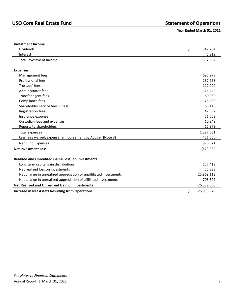### <span id="page-11-0"></span>**Year Ended March 31, 2022**

| <b>Investment Income</b>                                          |            |
|-------------------------------------------------------------------|------------|
| \$<br><b>Dividends</b>                                            | 547,264    |
| Interest                                                          | 5,318      |
| Total investment income                                           | 552,582    |
|                                                                   |            |
| <b>Expenses</b>                                                   |            |
| Management fees                                                   | 695,978    |
| Professional fees                                                 | 137,968    |
| Trustees' fees                                                    | 122,000    |
| Administrator fees                                                | 121,442    |
| Transfer agent fees                                               | 80,950     |
| Compliance fees                                                   | 78,000     |
| Shareholder service fees - Class I                                | 66,446     |
| Registration fees                                                 | 47,552     |
| Insurance expense                                                 | 21,568     |
| Custodian fees and expenses                                       | 10,348     |
| Reports to shareholders                                           | 15,379     |
| Total expenses                                                    | 1,397,631  |
| Less fees waived/expense reimbursement by Adviser (Note 3)        | (421,060)  |
| Net Fund Expenses                                                 | 976,571    |
| <b>Net Investment Loss</b>                                        | (423, 989) |
|                                                                   |            |
| Realized and Unrealized Gain/(Loss) on Investments                |            |
| Long term capital gain distributions                              | (157, 419) |
| Net realized loss on investments                                  | (55, 833)  |
| Net change in unrealized appreciation of unaffiliated investments | 25,869,118 |
| Net change in unrealized appreciation of affiliated investments   | 703,502    |
| <b>Net Realized and Unrealized Gain on Investments</b>            | 26,359,368 |
| \$<br><b>Increase in Net Assets Resulting from Operations</b>     | 25,935,379 |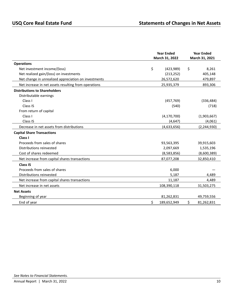<span id="page-12-0"></span>

|                                                      | <b>Year Ended</b> |                |    | <b>Year Ended</b> |  |  |
|------------------------------------------------------|-------------------|----------------|----|-------------------|--|--|
|                                                      |                   | March 31, 2022 |    | March 31, 2021    |  |  |
| <b>Operations</b>                                    |                   |                |    |                   |  |  |
| Net investment income/(loss)                         | \$                | (423,989)      | \$ | 8,261             |  |  |
| Net realized gain/(loss) on investments              |                   | (213, 252)     |    | 405,148           |  |  |
| Net change in unrealized appreciation on investments |                   | 26,572,620     |    | 479,897           |  |  |
| Net increase in net assets resulting from operations |                   | 25,935,379     |    | 893,306           |  |  |
| <b>Distributions to Shareholders</b>                 |                   |                |    |                   |  |  |
| Distributable earnings                               |                   |                |    |                   |  |  |
| Class I                                              |                   | (457, 769)     |    | (336, 484)        |  |  |
| Class IS                                             |                   | (540)          |    | (718)             |  |  |
| From return of capital                               |                   |                |    |                   |  |  |
| Class I                                              |                   | (4, 170, 700)  |    | (1,903,667)       |  |  |
| Class IS                                             |                   | (4, 647)       |    | (4,061)           |  |  |
| Decrease in net assets from distributions            |                   | (4,633,656)    |    | (2, 244, 930)     |  |  |
| <b>Capital Share Transactions</b>                    |                   |                |    |                   |  |  |
| Class I                                              |                   |                |    |                   |  |  |
| Proceeds from sales of shares                        |                   | 93,563,395     |    | 39,915,603        |  |  |
| Distributions reinvested                             |                   | 2,097,669      |    | 1,535,196         |  |  |
| Cost of shares redeemed                              |                   | (8,583,856)    |    | (8,600,389)       |  |  |
| Net increase from capital shares transactions        |                   | 87,077,208     |    | 32,850,410        |  |  |
| <b>Class IS</b>                                      |                   |                |    |                   |  |  |
| Proceeds from sales of shares                        |                   | 6,000          |    |                   |  |  |
| Distributions reinvested                             |                   | 5,187          |    | 4,489             |  |  |
| Net increase from capital shares transactions        |                   | 11,187         |    | 4,489             |  |  |
| Net increase in net assets                           |                   | 108,390,118    |    | 31,503,275        |  |  |
| <b>Net Assets</b>                                    |                   |                |    |                   |  |  |
| Beginning of year                                    |                   | 81,262,831     |    | 49,759,556        |  |  |
| End of year                                          | \$                | 189,652,949    | Ś. | 81,262,831        |  |  |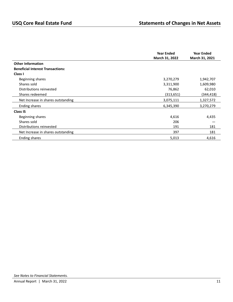|                                          | <b>Year Ended</b><br>March 31, 2022 | <b>Year Ended</b><br>March 31, 2021 |
|------------------------------------------|-------------------------------------|-------------------------------------|
| <b>Other Information</b>                 |                                     |                                     |
| <b>Beneficial Interest Transactions:</b> |                                     |                                     |
| Class I                                  |                                     |                                     |
| Beginning shares                         | 3,270,279                           | 1,942,707                           |
| Shares sold                              | 3,311,900                           | 1,609,980                           |
| Distributions reinvested                 | 76,862                              | 62,010                              |
| Shares redeemed                          | (313, 651)                          | (344, 418)                          |
| Net Increase in shares outstanding       | 3,075,111                           | 1,327,572                           |
| <b>Ending shares</b>                     | 6,345,390                           | 3,270,279                           |
| <b>Class IS</b>                          |                                     |                                     |
| Beginning shares                         | 4,616                               | 4,435                               |
| Shares sold                              | 206                                 |                                     |
| Distributions reinvested                 | 191                                 | 181                                 |
| Net Increase in shares outstanding       | 397                                 | 181                                 |
| Ending shares                            | 5,013                               | 4,616                               |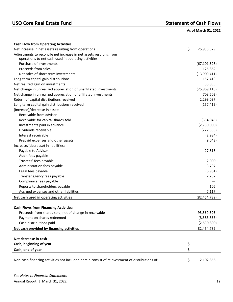# USQ Core Real Estate Fund<br> **USQ Core Real Estate Fund**

<span id="page-14-0"></span>

|  |  | As of March 31, 2022 |
|--|--|----------------------|
|--|--|----------------------|

| <b>Cash Flow from Operating Activities:</b>                                                          |                |
|------------------------------------------------------------------------------------------------------|----------------|
| \$<br>Net increase in net assets resulting from operations                                           | 25,935,379     |
| Adjustments to reconcile net increase in net assets resulting from                                   |                |
| operations to net cash used in operating activities:                                                 |                |
| Purchase of investments                                                                              | (67, 101, 528) |
| Proceeds from sales                                                                                  | 125,862        |
| Net sales of short term investments                                                                  | (13,909,411)   |
| Long term capital gain distributions                                                                 | 157,419        |
| Net realized gain on investments                                                                     | 55,833         |
| Net change in unrealized appreciation of unaffiliated investments                                    | (25,869,118)   |
| Net change in unrealized appreciation of affiliated investments                                      | (703, 502)     |
| Return of capital distributions received                                                             | 2,299,037      |
| Long term capital gain distributions received                                                        | (157, 419)     |
| (Increase)/decrease in assets:                                                                       |                |
| Receivable from adviser                                                                              |                |
| Receivable for capital shares sold                                                                   | (334, 045)     |
| Investments paid in advance                                                                          | (2,750,000)    |
| Dividends receivable                                                                                 | (227, 353)     |
| Interest receivable                                                                                  | (2,984)        |
| Prepaid expenses and other assets                                                                    | (9,043)        |
| Increase/(decrease) in liabilities:                                                                  |                |
| Payable to Adviser                                                                                   | 27,818         |
| Audit fees payable                                                                                   |                |
| Trustees' fees payable                                                                               | 2,000          |
| Administration fees payable                                                                          | 3,797          |
| Legal fees payable                                                                                   | (6,961)        |
| Transfer agency fees payable                                                                         | 2,257          |
| Compliance fees payable                                                                              |                |
| Reports to shareholders payable                                                                      | 106            |
| Accrued expenses and other liabilities                                                               | 7,117          |
| Net cash used in operating activities                                                                | (82, 454, 739) |
|                                                                                                      |                |
| <b>Cash Flows from Financing Activities:</b>                                                         |                |
| Proceeds from shares sold, net of change in receivable                                               | 93,569,395     |
| Payment on shares redeemed                                                                           | (8,583,856)    |
| Cash distributions paid                                                                              | (2,530,800)    |
|                                                                                                      |                |
| Net cash provided by financing activities                                                            | 82,454,739     |
|                                                                                                      |                |
| Net decrease in cash                                                                                 |                |
| Cash, beginning of year<br>\$                                                                        |                |
| \$<br>Cash, end of year                                                                              |                |
| \$<br>Non-cash financing activities not included herein consist of reinvestment of distributions of: | 2,102,856      |

| See Notes to Financial Statements. |  |
|------------------------------------|--|
| Annual Report   March 31, 2022     |  |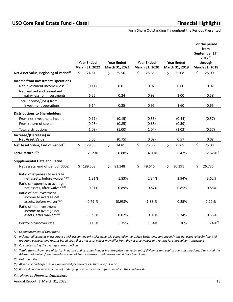<span id="page-15-0"></span>For a Share Outstanding Throughout the Periods Presented

|                                                                                             |                   |    |                   |                   |                   | For the period<br>from<br>September 27,<br>$2017^{(1)}$ |
|---------------------------------------------------------------------------------------------|-------------------|----|-------------------|-------------------|-------------------|---------------------------------------------------------|
|                                                                                             | <b>Year Ended</b> |    | <b>Year Ended</b> | <b>Year Ended</b> | <b>Year Ended</b> | through                                                 |
|                                                                                             | March 31, 2022    |    | March 31, 2021    | March 31, 2020    | March 31, 2019    | March 31, 2018                                          |
| Net Asset Value, Beginning of Period <sup>(2)</sup>                                         | \$<br>24.81       | \$ | 25.56             | \$<br>25.65       | \$<br>25.08       | \$<br>25.00                                             |
| <b>Income from Investment Operations</b>                                                    |                   |    |                   |                   |                   |                                                         |
| Net investment income/(loss)(3)                                                             | (0.11)            |    | 0.01              | 0.02              | 0.60              | 0.07                                                    |
| Net realized and unrealized                                                                 |                   |    |                   |                   |                   |                                                         |
| gain/(loss) on investments                                                                  | 6.25              |    | 0.24              | 0.93              | 1.00              | 0.58                                                    |
| Total income/(loss) from                                                                    |                   |    |                   |                   |                   |                                                         |
| investment operations                                                                       | 6.14              |    | 0.25              | 0.95              | 1.60              | 0.65                                                    |
| <b>Distributions to Shareholders</b>                                                        |                   |    |                   |                   |                   |                                                         |
| From net investment income                                                                  | (0.11)            |    | (0.15)            | (0.36)            | (0.44)            | (0.57)                                                  |
| From return of capital                                                                      | (0.98)            |    | (0.85)            | (0.68)            | (0.59)            |                                                         |
| <b>Total distributions</b>                                                                  | (1.09)            |    | (1.00)            | (1.04)            | (1.03)            | (0.57)                                                  |
| Increase/(Decrease) in                                                                      |                   |    |                   |                   |                   |                                                         |
| <b>Net Asset Value</b>                                                                      | 5.05              |    | (0.75)            | (0.09)            | 0.57              | 0.08                                                    |
| Net Asset Value, End of Period <sup>(2)</sup>                                               | \$<br>29.86       | \$ | 24.81             | \$<br>25.56       | \$<br>25.65       | \$<br>25.08                                             |
| Total Return <sup>(2)(4)</sup>                                                              | 25.29%            |    | 0.88%             | 4.00%             | 6.47%             | $2.62\%^{(5)}$                                          |
| <b>Supplemental Data and Ratios</b>                                                         |                   |    |                   |                   |                   |                                                         |
| Net assets, end of period (000s)                                                            | \$189,503         | Ś. | 81,148            | \$<br>49,646      | \$<br>30,391      | \$<br>26,735                                            |
| Ratio of expenses to average<br>net assets, before waiver <sup>(6)(7)</sup>                 | 1.31%             |    | 1.83%             | 2.34%             | 2.94%             | 3.62%                                                   |
| Ratio of expenses to average<br>net assets, after waiver <sup>(6)(7)</sup>                  | 0.91%             |    | 0.89%             | 0.87%             | 0.85%             | 0.85%                                                   |
| Ratio of net investment<br>income to average net<br>assets, before waiver <sup>(6)(7)</sup> | (0.79)%           |    | $(0.93)$ %        | $(1.38)\%$        | 0.25%             | (2.22)%                                                 |
| Ratio of net investment<br>income to average net<br>assets, after waiver(6)(7)              | (0.39)%           |    | 0.02%             | 0.09%             | 2.34%             | 0.55%                                                   |
| Portfolio turnover rate                                                                     | 0.13%             |    | 5.35%             | 1.54%             | 10%               | $24\%^{(5)}$                                            |
|                                                                                             |                   |    |                   |                   |                   |                                                         |

*(1) Commencement of Operations.*

*(2) Includes adjustments in accordance with accounting principles generally accepted in the United States and, consequently, the net asset value for financial reporting purposes and returns based upon those net asset values may differ from the net asset values and returns for shareholder transactions.*

*(3) Calculated using the average shares method.*

*(4) Total returns shown are historical in nature and assume changes in share price, reinvestment of dividends and capital gains distributions, if any. Had the Adviser not waived/reimbursed a portion of Fund expenses, total returns would have been lower.*

*(5) Not annualized.*

*(6) All income and expenses are annualized for periods less than one full year.*

*(7) Ratios do not include expenses of underlying private investment funds in which the Fund invests.* 

*See Notes to Financial Statements.*

Annual Report | March 31, 2022 13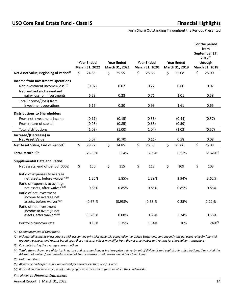For a Share Outstanding Throughout the Periods Presented

|                                                                                             |                   |                   |    |                   |                   | For the period<br>from<br>September 27,<br>$2017^{(1)}$ |
|---------------------------------------------------------------------------------------------|-------------------|-------------------|----|-------------------|-------------------|---------------------------------------------------------|
|                                                                                             | <b>Year Ended</b> | <b>Year Ended</b> |    | <b>Year Ended</b> | <b>Year Ended</b> | through                                                 |
|                                                                                             | March 31, 2022    | March 31, 2021    |    | March 31, 2020    | March 31, 2019    | March 31, 2018                                          |
| Net Asset Value, Beginning of Period <sup>(2)</sup>                                         | \$<br>24.85       | \$<br>25.55       | \$ | 25.66             | \$<br>25.08       | \$<br>25.00                                             |
| <b>Income from Investment Operations</b>                                                    |                   |                   |    |                   |                   |                                                         |
| Net investment income/(loss)(3)                                                             | (0.07)            | 0.02              |    | 0.22              | 0.60              | 0.07                                                    |
| Net realized and unrealized                                                                 |                   |                   |    |                   |                   |                                                         |
| gain/(loss) on investments                                                                  | 6.23              | 0.28              |    | 0.71              | 1.01              | 0.58                                                    |
| Total income/(loss) from                                                                    |                   |                   |    |                   |                   |                                                         |
| investment operations                                                                       | 6.16              | 0.30              |    | 0.93              | 1.61              | 0.65                                                    |
| <b>Distributions to Shareholders</b>                                                        |                   |                   |    |                   |                   |                                                         |
| From net investment income                                                                  | (0.11)            | (0.15)            |    | (0.36)            | (0.44)            | (0.57)                                                  |
| From return of capital                                                                      | (0.98)            | (0.85)            |    | (0.68)            | (0.59)            |                                                         |
| <b>Total distributions</b>                                                                  | (1.09)            | (1.00)            |    | (1.04)            | (1.03)            | (0.57)                                                  |
| Increase/(Decrease) in                                                                      |                   |                   |    |                   |                   |                                                         |
| <b>Net Asset Value</b>                                                                      | 5.07              | (0.70)            |    | (0.11)            | 0.58              | 0.08                                                    |
| Net Asset Value, End of Period <sup>(2)</sup>                                               | \$<br>29.92       | \$<br>24.85       | Ś  | 25.55             | \$<br>25.66       | \$<br>25.08                                             |
| Total Return <sup>(2)(4)</sup>                                                              | 25.33%            | 1.04%             |    | 3.96%             | 6.51%             | $2.62\%^{(5)}$                                          |
| <b>Supplemental Data and Ratios</b>                                                         |                   |                   |    |                   |                   |                                                         |
| Net assets, end of period (000s)                                                            | \$<br>150         | \$<br>115         | \$ | 113               | \$<br>109         | \$<br>103                                               |
| Ratio of expenses to average<br>net assets, before waiver <sup>(6)(7)</sup>                 | 1.26%             | 1.85%             |    | 2.39%             | 2.94%             | 3.62%                                                   |
| Ratio of expenses to average<br>net assets, after waiver <sup>(6)(7)</sup>                  | 0.85%             | 0.85%             |    | 0.85%             | 0.85%             | 0.85%                                                   |
| Ratio of net investment<br>income to average net<br>assets, before waiver <sup>(6)(7)</sup> | (0.67)%           | $(0.93)$ %        |    | $(0.68)$ %        | 0.25%             | (2.22)%                                                 |
| Ratio of net investment<br>income to average net                                            |                   |                   |    |                   |                   |                                                         |
| assets, after waiver <sup>(6)(7)</sup>                                                      | $(0.26)$ %        | 0.08%             |    | 0.86%             | 2.34%             | 0.55%                                                   |
| Portfolio turnover rate                                                                     | 0.13%             | 5.35%             |    | 1.54%             | 10%               | $24\%^{(5)}$                                            |

*(1) Commencement of Operations.* 

*(2) Includes adjustments in accordance with accounting principles generally accepted in the United States and, consequently, the net asset value for financial reporting purposes and returns based upon those net asset values may differ from the net asset values and returns for shareholder transactions.*

*(3) Calculated using the average shares method.*

*(4) Total returns shown are historical in nature and assume changes in share price, reinvestment of dividends and capital gains distributions, if any. Had the Adviser not waived/reimbursed a portion of Fund expenses, total returns would have been lower.*

*(5) Not annualized.*

*(6) All income and expenses are annualized for periods less than one full year.*

*(7) Ratios do not include expenses of underlying private investment funds in which the Fund invests.*

*See Notes to Financial Statements.*

Annual Report | March 31, 2022 14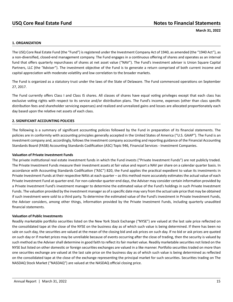#### <span id="page-17-0"></span>**1. ORGANIZATION**

The USQ Core Real Estate Fund (the "Fund") is registered under the Investment Company Act of 1940, as amended (the "1940 Act"), as a non-diversified, closed-end management company. The Fund engages in a continuous offering of shares and operates as an interval fund that offers quarterly repurchases of shares at net asset value ("NAV"). The Fund's investment adviser is Union Square Capital Partners, LLC (the "Adviser"). The investment objective of the Fund is to generate a return comprised of both current income and capital appreciation with moderate volatility and low correlation to the broader markets.

The Fund is organized as a statutory trust under the laws of the State of Delaware. The Fund commenced operations on September 27, 2017.

The Fund currently offers Class I and Class IS shares. All classes of shares have equal voting privileges except that each class has exclusive voting rights with respect to its service and/or distribution plans. The Fund's income, expenses (other than class specific distribution fees and shareholder servicing expenses) and realized and unrealized gains and losses are allocated proportionately each day based upon the relative net assets of each class.

#### **2. SIGNIFICANT ACCOUNTING POLICIES**

The following is a summary of significant accounting policies followed by the Fund in preparation of its financial statements. The policies are in conformity with accounting principles generally accepted in the United States of America ("U.S. GAAP"). The Fund is an investment company and, accordingly, follows the investment company accounting and reporting guidance of the Financial Accounting Standards Board (FASB) Accounting Standards Codification (ASC) Topic 946, Financial Services - Investment Companies.

#### **Valuation of Private Investment Funds**

The private institutional real estate investment funds in which the Fund invests ("Private Investment Funds") are not publicly traded. The Private Investment Funds measure their investment assets at fair value and report a NAV per share on a calendar quarter basis. In accordance with Accounting Standards Codification ("ASC") 820, the Fund applies the practical expedient to value its investments in Private Investment Funds at their respective NAVs at each quarter – as this method more accurately estimates the actual value of each Private Investment Fund at quarter-end. For non‐calendar quarter-end days, the Adviser may consider certain information provided by a Private Investment Fund's investment manager to determine the estimated value of the Fund's holdings in such Private Investment Funds. The valuation provided by the investment manager as of a specific date may vary from the actual sale price that may be obtained if such investment were sold to a third party. To determine the estimated value of the Fund's investment in Private Investment Funds, the Adviser considers, among other things, information provided by the Private Investment Funds, including quarterly unaudited financial statements.

#### **Valuation of Public Investments**

Readily marketable portfolio securities listed on the New York Stock Exchange ("NYSE") are valued at the last sale price reflected on the consolidated tape at the close of the NYSE on the business day as of which such value is being determined. If there has been no sale on such day, the securities are valued at the mean of the closing bid and ask prices on such day. If no bid or ask prices are quoted on such day or if market prices may be unreliable because of events occurring after the close of trading, then the security is valued by such method as the Adviser shall determine in good faith to reflect its fair market value. Readily marketable securities not listed on the NYSE but listed on other domestic or foreign securities exchanges are valued in a like manner. Portfolio securities traded on more than one securities exchange are valued at the last sale price on the business day as of which such value is being determined as reflected on the consolidated tape at the close of the exchange representing the principal market for such securities. Securities trading on The NASDAQ Stock Market ("NASDAQ") are valued at the NASDAQ official closing price.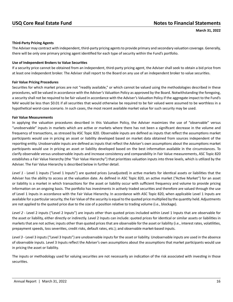### **Third-Party Pricing Agents**

The Adviser may contract with independent, third-party pricing agents to provide primary and secondary valuation coverage. Generally, there will be only one primary pricing agent identified for each type of security within the Fund's portfolio.

#### **Use of Independent Brokers to Value Securities**

If a security price cannot be obtained from an independent, third-party pricing agent, the Adviser shall seek to obtain a bid price from at least one independent broker. The Adviser shall report to the Board on any use of an independent broker to value securities.

#### **Fair Value Pricing Procedures**

Securities for which market prices are not "readily available," or which cannot be valued using the methodologies described in these procedures, will be valued in accordance with the Adviser's Valuation Policy as approved by the Board. Notwithstanding the foregoing, a security shall not be required to be fair valued in accordance with the Adviser's Valuation Policy if the aggregate impact to the Fund's NAV would be less than \$0.01 if all securities that would otherwise be required to be fair valued were assumed to be worthless in a hypothetical worst-case scenario. In such cases, the most recent available market value for such security may be used.

#### **Fair Value Measurements**

In applying the valuation procedures described in this Valuation Policy, the Adviser maximizes the use of "observable" versus "unobservable" inputs in markets which are active or markets where there has not been a significant decrease in the volume and frequency of transactions, as stressed by ASC Topic 820. Observable inputs are defined as inputs that reflect the assumptions market participants would use in pricing an asset or liability developed based on market data obtained from sources independent of the reporting entity. Unobservable inputs are defined as inputs that reflect the Adviser's own assumptions about the assumptions market participants would use in pricing an asset or liability developed based on the best information available in the circumstances. To clarify observable versus unobservable inputs and increase consistency and comparability in Fair Value measurements, ASC Topic 820 establishes a Fair Value hierarchy (the "Fair Value Hierarchy") that prioritizes valuation inputs into three levels, which is utilized by the Adviser. The Fair Value Hierarchy is described below in further detail.

*Level 1* - Level 1 inputs ("Level 1 Inputs") are quoted prices (unadjusted) in active markets for identical assets or liabilities that the Adviser has the ability to access at the valuation date. As defined in ASC Topic 820, an active market ("Active Market") for an asset or liability is a market in which transactions for the asset or liability occur with sufficient frequency and volume to provide pricing information on an ongoing basis. The portfolio has investments in actively traded securities and therefore are valued through the use of Level 1 Inputs in accordance with the Fair Value Hierarchy. In accordance with ASC Topic 820, when applicable Level 1 Inputs are available for a particular security, the Fair Value of the security is equal to the quoted price multiplied by the quantity held. Adjustments are not applied to the quoted price due to the size of a position relative to trading volume (i.e., blockage).

*Level 2* - Level 2 inputs ("Level 2 Inputs") are inputs other than quoted prices included within Level 1 Inputs that are observable for the asset or liability, either directly or indirectly. Level 2 Inputs can include: quoted prices for identical or similar assets or liabilities in markets that are not active; inputs other than quoted prices that are observable for the asset or liability (i.e., interest rates, volatilities, prepayment speeds, loss severities, credit risks, default rates, etc.); and observable market-based inputs.

*Level 3* - Level 3 inputs ("Level 3 Inputs") are unobservable inputs for the asset or liability. Unobservable inputs are used in the absence of observable inputs. Level 3 Inputs reflect the Adviser's own assumptions about the assumptions that market participants would use in pricing the asset or liability.

The inputs or methodology used for valuing securities are not necessarily an indication of the risk associated with investing in those securities.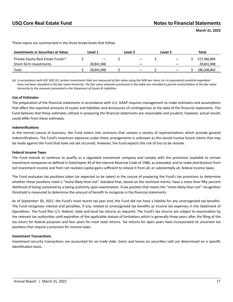| <b>Investments in Securities at Value</b>       | Level 1                  | Level 2                         | Level 3           | Total       |
|-------------------------------------------------|--------------------------|---------------------------------|-------------------|-------------|
| Private Equity Real Estate Funds <sup>(a)</sup> | $\overline{\phantom{m}}$ | $\hspace{0.1mm}-\hspace{0.1mm}$ | $\hspace{0.05cm}$ | 157,366,894 |
| Short-Term Investments                          | 28.841.948               |                                 |                   | 28,841,948  |
| Total                                           | 28.841.948               | $\overline{\phantom{m}}$        |                   | 186.208.842 |

These inputs are summarized in the three broad levels that follow.

*(a) In accordance with ASC 820-10, certain investments that are measured at fair value using the NAV per share (or its equivalent) practical expedient have not been classified in the fair value hierarchy. The fair value amounts presented in this table are intended to permit reconciliation of the fair value hierarchy to the amounts presented in the Statement of Assets & Liabilities.*

#### **Use of Estimates**

The preparation of the financial statements in accordance with U.S. GAAP requires management to make estimates and assumptions that affect the reported amounts of assets and liabilities and disclosures of contingencies at the date of the financial statements. The Fund believes that these estimates utilized in preparing the financial statements are reasonable and prudent; however, actual results could differ from these estimates.

#### **Indemnifications**

In the normal course of business, the Fund enters into contracts that contain a variety of representations which provide general indemnifications. The Fund's maximum exposure under these arrangements is unknown as this would involve future claims that may be made against the Fund that have not yet occurred. However, the Fund expects the risk of loss to be remote.

#### **Federal Income Taxes**

The Fund intends to continue to qualify as a regulated investment company and comply with the provisions available to certain investment companies as defined in Subchapter M of the Internal Revenue Code of 1986, as amended, and to make distributions from net investment income and from net realized capital gains sufficient to relieve it from all, or substantially all, federal income taxes.

The Fund evaluates tax positions taken (or expected to be taken) in the course of preparing the Fund's tax provisions to determine whether these positions meet a "more-likely-than-not" standard that, based on the technical merits, have a more than fifty percent likelihood of being sustained by a taxing authority upon examination. A tax position that meets the "more‐likely‐than‐not" recognition threshold is measured to determine the amount of benefit to recognize in the financial statements.

As of September 30, 2021, the Fund's most recent tax year end, the Fund did not have a liability for any unrecognized tax benefits. The Fund recognizes interest and penalties, if any, related to unrecognized tax benefits as income tax expenses in the Statement of Operations. The Fund files U.S. federal, state and local tax returns as required. The Fund's tax returns are subject to examination by the relevant tax authorities until expiration of the applicable statute of limitations which is generally three years after the filing of the tax return for federal purposes and four years for most state returns. Tax returns for open years have incorporated no uncertain tax positions that require a provision for income taxes.

#### **Investment Transactions**

Investment security transactions are accounted for on trade date. Gains and losses on securities sold are determined on a specific identification basis.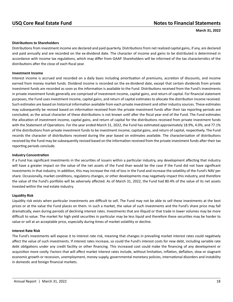### **Distributions to Shareholders**

Distributions from investment income are declared and paid quarterly. Distributions from net realized capital gains, if any, are declared and paid annually and are recorded on the ex‐dividend date. The character of income and gains to be distributed is determined in accordance with income tax regulations, which may differ from GAAP. Shareholders will be informed of the tax characteristics of the distributions after the close of each fiscal year.

#### **Investment Income**

Interest income is accrued and recorded on a daily basis including amortization of premiums, accretion of discounts, and income earned from money market funds. Dividend income is recorded on the ex-dividend date, except that certain dividends from private investment funds are recorded as soon as the information is available to the Fund. Distributions received from the Fund's investments in private investment funds generally are comprised of investment income, capital gains, and return of capital. For financial statement purposes, the Fund uses investment income, capital gains, and return of capital estimates to allocate the distribution income received. Such estimates are based on historical information available from each private investment and other industry sources. These estimates may subsequently be revised based on information received from the private investment funds after their tax reporting periods are concluded, as the actual character of these distributions is not known until after the fiscal year end of the Fund. The Fund estimates the allocation of investment income, capital gains, and return of capital for the distributions received from private investment funds with the Statement of Operations. For the year ended March 31, 2022, the Fund has estimated approximately 18.9%, 4.0%, and 77.1% of the distributions from private investment funds to be investment income, capital gains, and return of capital, respectively. The Fund records the character of distributions received during the year based on estimates available. The characterization of distributions received by the Fund may be subsequently revised based on the information received from the private investment funds after their tax reporting periods conclude.

#### **Industry Concentration**

If a Fund has significant investments in the securities of issuers within a particular industry, any development affecting that industry will have a greater impact on the value of the net assets of the Fund than would be the case if the Fund did not have significant investments in that industry. In addition, this may increase the risk of loss in the Fund and increase the volatility of the Fund's NAV per share. Occasionally, market conditions, regulatory changes, or other developments may negatively impact this industry, and therefore the value of the Fund's portfolio will be adversely affected. As of March 31, 2022, the Fund had 80.4% of the value of its net assets invested within the real estate industry.

#### **Liquidity Risk**

Liquidity risk exists when particular investments are difficult to sell. The Fund may not be able to sell these investments at the best prices or at the value the Fund places on them. In such a market, the value of such investments and the Fund's share price may fall dramatically, even during periods of declining interest rates. Investments that are illiquid or that trade in lower volumes may be more difficult to value. The market for high yield securities in particular may be less liquid and therefore these securities may be harder to value or sell at an acceptable price, especially during times of market volatility or decline.

#### **Interest Rate Risk**

The Fund's investments will expose it to interest rate risk, meaning that changes in prevailing market interest rates could negatively affect the value of such investments. If interest rates increase, so could the Fund's interest costs for new debt, including variable rate debt obligations under any credit facility or other financing. This increased cost could make the financing of any development or acquisition more costly. Factors that will affect market interest rates include, without limitation, inflation, deflation, slow or stagnant economic growth or recession, unemployment, money supply, governmental monetary policies, international disorders and instability in domestic and foreign financial markets.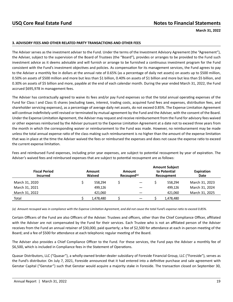#### **3. ADVISORY FEES AND OTHER RELATED PARTY TRANSACTIONS AND OTHER FEES**

The Adviser serves as the investment adviser to the Fund. Under the terms of the Investment Advisory Agreement (the "Agreement"), the Adviser, subject to the supervision of the Board of Trustees (the "Board"), provides or arranges to be provided to the Fund such investment advice as it deems advisable and will furnish or arrange to be furnished a continuous investment program for the Fund consistent with the Fund's investment objectives and policies. As compensation for its management services, the Fund agrees to pay to the Adviser a monthly fee in dollars at the annual rate of 0.65% (as a percentage of daily net assets) on assets up to \$500 million, 0.50% on assets of \$500 million and more but less than \$1 billion, 0.40% on assets of \$1 billion and more but less than \$5 billion, and 0.30% on assets of \$5 billion and more, payable at the end of each calendar month. During the year ended March 31, 2022, the Fund accrued \$695,978 in management fees.

The Adviser has contractually agreed to waive its fees and/or pay Fund expenses so that the total annual operating expenses of the Fund for Class I and Class IS shares (excluding taxes, interest, trading costs, acquired fund fees and expenses, distribution fees, and shareholder servicing expenses), as a percentage of average daily net assets, do not exceed 0.85%. The Expense Limitation Agreement will continue indefinitely until revised or terminated by mutual agreement by the Fund and the Adviser, with the consent of the Board. Under the Expense Limitation Agreement, the Adviser may request and receive reimbursement from the Fund for advisory fees waived or other expenses reimbursed by the Adviser pursuant to the Expense Limitation Agreement at a date not to exceed three years from the month in which the corresponding waiver or reimbursement to the Fund was made. However, no reimbursement may be made unless the total annual expense ratio of the class making such reimbursement is no higher than the amount of the expense limitation that was in place at the time the Adviser waived the fees or reimbursed the expenses and does not cause the expense ratio to exceed the current expense limitation.

Fees and reimbursed Fund expenses, including prior year expenses, are subject to potential recoupment by year of expiration. The Adviser's waived fees and reimbursed expenses that are subject to potential recoupment are as follows:

| <b>Fiscal Period</b><br><b>Incurred</b> | Amount<br><b>Waived</b> | Amount<br>Recouped <sup>(a)</sup> | <b>Amount Subject</b><br>to Potential<br>Recoupment | Expiration<br>Date |
|-----------------------------------------|-------------------------|-----------------------------------|-----------------------------------------------------|--------------------|
| March 31, 2020                          | 558.294                 |                                   | 558.294                                             | March 31, 2023     |
| March 31, 2021                          | 499,126                 |                                   | 499.126                                             | March 31, 2024     |
| March 31, 2022                          | 421,060                 |                                   | 421,060                                             | March 31, 2025     |
| Total                                   | 1,478,480               |                                   | 1,478,480                                           |                    |

*(a) Amount recouped was in compliance with the Expense Limitation Agreement, and did not cause the total Fund's expense ratio to exceed 0.85%.*

Certain Officers of the Fund are also Officers of the Adviser. Trustees and officers, other than the Chief Compliance Officer, affiliated with the Adviser are not compensated by the Fund for their services. Each Trustee who is not an affiliated person of the Adviser receives from the Fund an annual retainer of \$30,000, paid quarterly; a fee of \$2,500 for attendance at each in-person meeting of the Board; and a fee of \$500 for attendance at each telephonic regular meeting of the Board.

The Adviser also provides a Chief Compliance Officer to the Fund. For these services, the Fund pays the Adviser a monthly fee of \$6,500, which is included in Compliance fees in the Statement of Operations.

Quasar Distributors, LLC ("Quasar"), a wholly-owned broker-dealer subsidiary of Foreside Financial Group, LLC ("Foreside"), serves as the Fund's distributor. On July 7, 2021, Foreside announced that it had entered into a definitive purchase and sale agreement with Genstar Capital ("Genstar") such that Genstar would acquire a majority stake in Foreside. The transaction closed on September 30,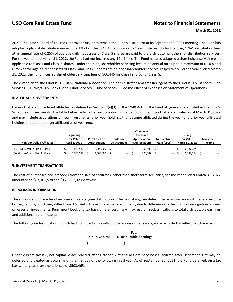2021. The Fund's Board of Trustees approved Quasar to remain the Fund's distributor at its September 9, 2021 meeting. The Fund has adopted a plan of distribution under Rule 12b-1 of the 1940 Act applicable to Class IS shares. Under the plan, 12b-1 distribution fees at an annual rate of 0.25% of average daily net assets of Class IS shares are paid to the distributor or others for distribution services. For the year ended March 31, 2022, the Fund had not incurred any 12b-1 fees. The Fund has also adopted a shareholder servicing plan applicable to Class I and Class IS shares. Under the plan, shareholder servicing fees at an annual rate up to a maximum of 0.10% and 0.25% of average daily net assets of Class I and Class IS shares are paid for shareholder services, respectively. For the year ended March 31, 2022, the Fund incurred shareholder servicing fees of \$66,446 for Class I and \$0 for Class IS.

The custodian to the Fund is U.S. Bank National Association. The administrator and transfer agent to the Fund is U.S. Bancorp Fund Services, LLC, d/b/a U.S. Bank Global Fund Services ("Fund Services"). See the effect of expenses on Statement of Operations.

### **4. AFFILIATED INVESTMENTS**

Issuers that are considered affiliates, as defined in Section 2(a)(3) of the 1940 Act, of the Fund at year-end are noted in the Fund's Schedule of Investments. The table below reflects transactions during the period with entities that are affiliates as of March 31, 2022 and may include acquisitions of new investments, prior year holdings that become affiliated during the year, and prior year affiliated holdings that are no longer affiliated as of year-end.

|                                        |                                       |                      |                      | Change in                         |                     |                                    |            |
|----------------------------------------|---------------------------------------|----------------------|----------------------|-----------------------------------|---------------------|------------------------------------|------------|
|                                        | <b>Beginning</b><br><b>Fair Value</b> | <b>Purchases or</b>  | Sales or             | <b>Unrealized</b><br>Appreciation | <b>Net Realized</b> | <b>Ending</b><br><b>Fair Value</b> | Investment |
| <b>Non-Controlled Affiliates</b>       | April 1, 2021                         | <b>Contributions</b> | <b>Distributions</b> | (Depreciation)                    | Gain (Loss)         | March 31, 2022                     | Income     |
| BGO Daily Value Fund - Class F         | 1,583,582                             | 4.500.000            | $\qquad \qquad -$    | 703.502                           | $\qquad \qquad -$   | 6.787.084                          |            |
| <b>Total Non-Controlled Affiliates</b> | 1,583,582                             | 4,500,000            | $\qquad \qquad -$    | 703.502                           | $\qquad \qquad -$   | 6.787.084                          |            |

#### **5. INVESTMENT TRANSACTIONS**

The cost of purchases and proceeds from the sale of securities, other than short-term securities, for the year ended March 31, 2022 amounted to \$67,101,528 and \$125,862, respectively.

#### **6. TAX BASIS INFORMATION**

The amount and character of income and capital gain distribution to be paid, if any, are determined in accordance with federal income tax regulations, which may differ from U.S. GAAP. These differences are primarily due to differences in the timing of recognition of gains or losses on investments. Permanent book and tax basis differences, if any, may result in reclassifications to total distributable earnings and additional paid-in capital.

The following reclassifications, which had no impact on results of operations or net assets, were recorded to reflect tax character.

| <b>Paid-in Capital</b> | <b>Distributable Earnings</b> | Total |
|------------------------|-------------------------------|-------|
|                        |                               |       |

Under current tax law, net capital losses realized after October 31st and net ordinary losses incurred after December 31st may be deferred and treated as occurring on the first day of the following fiscal year. As of September 30, 2021, the Fund deferred, on a tax basis, late-year investment losses of \$503,465.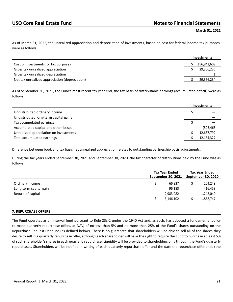As of March 31, 2022, the unrealized appreciation and depreciation of investments, based on cost for federal income tax purposes, were as follows:

|                                                | <b>Investments</b> |
|------------------------------------------------|--------------------|
| Cost of investments for tax purposes           | 156,842,609        |
| Gross tax unrealized appreciation              | 29,366,235         |
| Gross tax unrealized depreciation              | (1)                |
| Net tax unrealized appreciation (depreciation) | 29,366,234         |

As of September 30, 2021, the Fund's most recent tax year end, the tax basis of distributable earnings (accumulated deficit) were as follows:

|                                        | <b>Investments</b> |
|----------------------------------------|--------------------|
| Undistributed ordinary income          |                    |
| Undistributed long-term capital gains  |                    |
| Tax accumulated earnings               |                    |
| Accumulated capital and other losses   | (503, 465)         |
| Unrealized appreciation on investments | 12,637,792         |
| Total accumulated earnings             | 12,134,327         |

Difference between book and tax basis net unrealized appreciation relates to outstanding partnership basis adjustments.

During the tax years ended September 30, 2021 and September 30, 2020, the tax character of distributions paid by the Fund was as follows:

|                        | <b>Tax Year Ended</b><br>September 30, 2021 | <b>Tax Year Ended</b><br>September 30, 2020 |
|------------------------|---------------------------------------------|---------------------------------------------|
| Ordinary income        | 66.837                                      | 204,249                                     |
| Long-term capital gain | 96,183                                      | 416,458                                     |
| Return of capital      | 2,983,082                                   | 1,248,040                                   |
|                        | 3,146,102                                   | 1,868,747                                   |
|                        |                                             |                                             |

#### **7. REPURCHASE OFFERS**

The Fund operates as an interval fund pursuant to Rule 23c-2 under the 1940 Act and, as such, has adopted a fundamental policy to make quarterly repurchase offers, at NAV, of no less than 5% and no more than 25% of the Fund's shares outstanding on the Repurchase Request Deadline (as defined below). There is no guarantee that shareholders will be able to sell all of the shares they desire to sell in a quarterly repurchase offer, although each shareholder will have the right to require the Fund to purchase at least 5% of such shareholder's shares in each quarterly repurchase. Liquidity will be provided to shareholders only through the Fund's quarterly repurchases. Shareholders will be notified in writing of each quarterly repurchase offer and the date the repurchase offer ends (the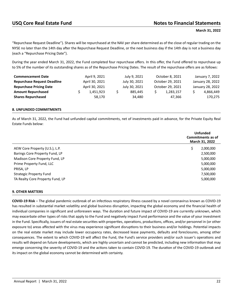"Repurchase Request Deadline"). Shares will be repurchased at the NAV per share determined as of the close of regular trading on the NYSE no later than the 14th day after the Repurchase Request Deadline, or the next business day if the 14th day is not a business day (each a "Repurchase Pricing Date").

During the year ended March 31, 2022, the Fund completed four repurchase offers. In this offer, the Fund offered to repurchase up to 5% of the number of its outstanding shares as of the Repurchase Pricing Dates. The result of the repurchase offers are as follows:

| <b>Commencement Date</b>           | April 9, 2021  | July 9, 2021  | October 8, 2021  | January 7, 2022  |
|------------------------------------|----------------|---------------|------------------|------------------|
| <b>Repurchase Request Deadline</b> | April 30, 2021 | July 30, 2021 | October 29, 2021 | January 28, 2022 |
| <b>Repurchase Pricing Date</b>     | April 30, 2021 | July 30, 2021 | October 29, 2021 | January 28, 2022 |
| <b>Amount Repurchased</b>          | 1.451.923      | 885.445       | 1,283,157        | 4,866,449        |
| <b>Shares Repurchased</b>          | 58.170         | 34.480        | 47.366           | 170,275          |

### **8. UNFUNDED COMMITMENTS**

As of March 31, 2022, the Fund had unfunded capital commitments, net of investments paid in advance, for the Private Equity Real Estate Funds below:

|                                  | <b>Unfunded</b><br>Commitments as of<br>March 31, 2022 |
|----------------------------------|--------------------------------------------------------|
| AEW Core Property (U.S.), L.P.   | \$<br>2,000,000                                        |
| Barings Core Property Fund, LP   | 2,500,000                                              |
| Madison Core Property Fund, LP   | 5,000,000                                              |
| Prime Property Fund, LLC         | 5,000,000                                              |
| PRISA, LP                        | 5,000,000                                              |
| <b>Strategic Property Fund</b>   | 7,500,000                                              |
| TA Realty Core Property Fund, LP | 5,000,000                                              |

#### **9. OTHER MATTERS**

**COVID-19 Risk** – The global pandemic outbreak of an infectious respiratory illness caused by a novel coronavirus known as COVID-19 has resulted in substantial market volatility and global business disruption, impacting the global economy and the financial health of individual companies in significant and unforeseen ways. The duration and future impact of COVID-19 are currently unknown, which may exacerbate other types of risks that apply to the Fund and negatively impact Fund performance and the value of your investment in the Fund. Specifically, issuers of real estate securities with properties, operations, productions, offices, and/or personnel in (or other exposure to) areas affected with the virus may experience significant disruptions to their business and/or holdings. Potential impacts on the real estate market may include lower occupancy rates, decreased lease payments, defaults and foreclosures, among other consequences. The extent to which COVID-19 will affect the Fund, the Fund's service providers and/or such issuer's operations and results will depend on future developments, which are highly uncertain and cannot be predicted, including new information that may emerge concerning the severity of COVID-19 and the actions taken to contain COVID-19. The duration of the COVID-19 outbreak and its impact on the global economy cannot be determined with certainty.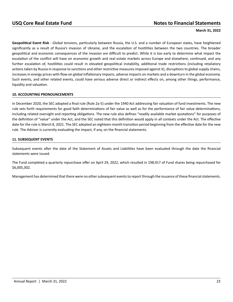## USQ Core Real Estate Fund<br> **Notes to Financial Statements**

#### **March 31, 2022**

**Geopolitical Event Risk** - Global tensions, particularly between Russia, the U.S. and a number of European states, have heightened significantly as a result of Russia's invasion of Ukraine, and the escalation of hostilities between the two countries. The broader geopolitical and economic consequences of the invasion are difficult to predict. While it is too early to determine what impact the escalation of the conflict will have on economic growth and real estate markets across Europe and elsewhere, continued, and any further escalation of, hostilities could result in elevated geopolitical instability, additional trade restrictions (including retaliatory actions taken by Russia in response to sanctions and other restrictive measures imposed against it), disruptions to global supply chains, increases in energy prices with flow-on global inflationary impacts, adverse impacts on markets and a downturn in the global economy. Such events, and other related events, could have serious adverse direct or indirect effects on, among other things, performance, liquidity and valuation.

#### **10. ACCOUNTING PRONOUNCEMENTS**

In December 2020, the SEC adopted a final rule (Rule 2a-5) under the 1940 Act addressing fair valuation of fund investments. The new rule sets forth requirements for good faith determinations of fair value as well as for the performance of fair value determinations, including related oversight and reporting obligations. The new rule also defines "readily available market quotations" for purposes of the definition of "value" under the Act, and the SEC noted that this definition would apply in all contexts under the Act. The effective date for the rule is March 8, 2021. The SEC adopted an eighteen-month transition period beginning from the effective date for the new rule. The Adviser is currently evaluating the impact, if any, on the financial statements.

### **11. SUBSEQUENT EVENTS**

Subsequent events after the date of the Statement of Assets and Liabilities have been evaluated through the date the financial statements were issued.

The Fund completed a quarterly repurchase offer on April 29, 2022, which resulted in 198,917 of Fund shares being repurchased for \$6,005,302.

Management has determined that there were no other subsequent events to report through the issuance of these financial statements.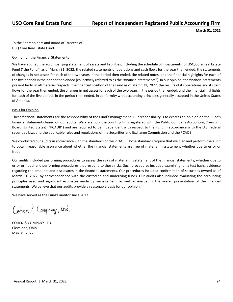<span id="page-26-0"></span>To the Shareholders and Board of Trustees of USQ Core Real Estate Fund

### Opinion on the Financial Statements

We have audited the accompanying statement of assets and liabilities, including the schedule of investments, of USQ Core Real Estate Fund ("the Fund") as of March 31, 2022, the related statements of operations and cash flows for the year then ended, the statements of changes in net assets for each of the two years in the period then ended, the related notes, and the financial highlights for each of the five periods in the period then ended (collectively referred to as the "financial statements"). In our opinion, the financial statements present fairly, in all material respects, the financial position of the Fund as of March 31, 2022, the results of its operations and its cash flows for the year then ended, the changes in net assets for each of the two years in the period then ended, and the financial highlights for each of the five periods in the period then ended, in conformity with accounting principles generally accepted in the United States of America.

### Basis for Opinion

These financial statements are the responsibility of the Fund's management. Our responsibility is to express an opinion on the Fund's financial statements based on our audits. We are a public accounting firm registered with the Public Company Accounting Oversight Board (United States) ("PCAOB") and are required to be independent with respect to the Fund in accordance with the U.S. federal securities laws and the applicable rules and regulations of the Securities and Exchange Commission and the PCAOB.

We conducted our audits in accordance with the standards of the PCAOB. Those standards require that we plan and perform the audit to obtain reasonable assurance about whether the financial statements are free of material misstatement whether due to error or fraud.

Our audits included performing procedures to assess the risks of material misstatement of the financial statements, whether due to error or fraud, and performing procedures that respond to those risks. Such procedures included examining, on a test basis, evidence regarding the amounts and disclosures in the financial statements. Our procedures included confirmation of securities owned as of March 31, 2022, by correspondence with the custodian and underlying funds. Our audits also included evaluating the accounting principles used and significant estimates made by management, as well as evaluating the overall presentation of the financial statements. We believe that our audits provide a reasonable basis for our opinion.

We have served as the Fund's auditor since 2017.

Cohen E Company, Utd.

COHEN & COMPANY, LTD. Cleveland, Ohio May 31, 2022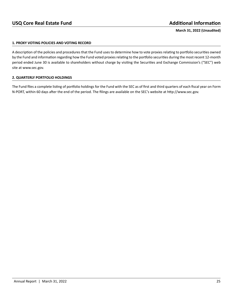### <span id="page-27-0"></span>**1. PROXY VOTING POLICIES AND VOTING RECORD**

A description of the policies and procedures that the Fund uses to determine how to vote proxies relating to portfolio securities owned by the Fund and information regarding how the Fund voted proxies relating to the portfolio securities during the most recent 12-month period ended June 30 is available to shareholders without charge by visiting the Securities and Exchange Commission's ("SEC") web site at www.sec.gov.

### **2. QUARTERLY PORTFOLIO HOLDINGS**

The Fund files a complete listing of portfolio holdings for the Fund with the SEC as of first and third quarters of each fiscal year on Form N-PORT, within 60 days after the end of the period. The filings are available on the SEC's website at http://www.sec.gov.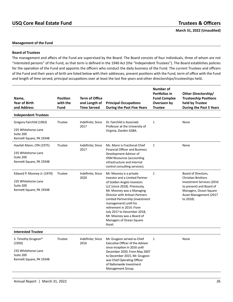## **USQ Core Real Estate Fund Trustees & Officers**

<span id="page-28-0"></span>**March 31, 2022 (Unaudited)**

#### **Management of the Fund**

#### **Board of Trustees**

The management and affairs of the Fund are supervised by the Board. The Board consists of four individuals, three of whom are not "interested persons" of the Fund, as that term is defined in the 1940 Act (the "Independent Trustees"). The Board establishes policies for the operation of the Fund and appoints the officers who conduct the daily business of the Fund. The current Trustees and officers of the Fund and their years of birth are listed below with their addresses, present positions with the Fund, term of office with the Fund and length of time served, principal occupations over at least the last five years and other directorships/trusteeships held.

| Name,<br><b>Year of Birth</b><br>and Address                                                  | <b>Position</b><br>with the<br><b>Fund</b> | <b>Term of Office</b><br>and Length of<br><b>Time Served</b> | <b>Principal Occupations</b><br><b>During the Past Five Years</b>                                                                                                                                                                                                                                                                                                                 | Number of<br>Portfolios in<br><b>Fund Complex</b><br>Overseen by<br><b>Trustee</b> | Other Directorship/<br><b>Trusteeship Positions</b><br>held by Trustee<br><b>During the Past 5 Years</b>                                                                   |
|-----------------------------------------------------------------------------------------------|--------------------------------------------|--------------------------------------------------------------|-----------------------------------------------------------------------------------------------------------------------------------------------------------------------------------------------------------------------------------------------------------------------------------------------------------------------------------------------------------------------------------|------------------------------------------------------------------------------------|----------------------------------------------------------------------------------------------------------------------------------------------------------------------------|
| <b>Independent Trustees</b>                                                                   |                                            |                                                              |                                                                                                                                                                                                                                                                                                                                                                                   |                                                                                    |                                                                                                                                                                            |
| Gregory Fairchild (1963)<br>235 Whitehorse Lane<br>Suite 200<br>Kennett Square, PA 19348      | <b>Trustee</b>                             | Indefinite; Since<br>2017                                    | Dr. Fairchild is Associate<br>Professor at the University of<br>Virginia, Darden GSBA.                                                                                                                                                                                                                                                                                            | $\mathbf{1}$                                                                       | None                                                                                                                                                                       |
| Havilah Mann, CPA (1975)<br>235 Whitehorse Lane<br>Suite 200<br>Kennett Square, PA 19348      | <b>Trustee</b>                             | Indefinite; Since<br>2017                                    | Ms. Mann is Fractional Chief<br><b>Financial Officer and Business</b><br>Development Advisor of<br><b>HSM Resources (accounting</b><br>infrastructure and internal<br>control consulting services).                                                                                                                                                                               | $\mathbf{1}$                                                                       | None                                                                                                                                                                       |
| Edward P. Mooney Jr. (1970)<br>235 Whitehorse Lane<br>Suite 200<br>Kennett Square, PA 19348   | Trustee                                    | Indefinite; Since<br>2020                                    | Mr. Mooney is a private<br>investor and a Limited Partner<br>of Golden Angels Investors<br>LLC (since 2018). Previously,<br>Mr. Mooney was a Managing<br>Director with Artisan Partners<br>Limited Partnership (investment<br>management) until his<br>retirement in 2014. From<br>July 2017 to December 2018,<br>Mr. Mooney was a Board of<br>Managers of Ocean Square<br>Asset. | $\mathbf{1}$                                                                       | Board of Directors,<br><b>Christian Brothers</b><br>Investment Services (2016<br>to present) and Board of<br>Managers, Ocean Square<br>Asset Management (2017<br>to 2018). |
| <b>Interested Trustee</b>                                                                     |                                            |                                                              |                                                                                                                                                                                                                                                                                                                                                                                   |                                                                                    |                                                                                                                                                                            |
| S. Timothy Grugeon*<br>(1950)<br>235 Whitehorse Lane<br>Suite 200<br>Kennett Square, PA 19348 | <b>Trustee</b>                             | Indefinite; Since<br>2016                                    | Mr. Grugeon served as Chief<br>Executive Officer of the Adviser<br>since inception in 2016 until<br>December 2020. From May 2007<br>to December 2015, Mr. Grugeon<br>was Chief Operating Officer<br>of Nationwide Investment<br>Management Group.                                                                                                                                 | 1                                                                                  | None                                                                                                                                                                       |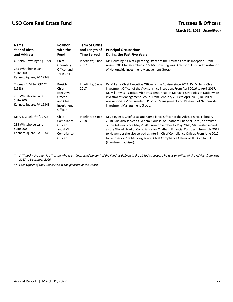| Name,<br><b>Year of Birth</b><br>and Address                                                      | <b>Position</b><br>with the<br><b>Fund</b>                                        | <b>Term of Office</b><br>and Length of<br><b>Time Served</b> | <b>Principal Occupations</b><br>During the Past Five Years                                                                                                                                                                                                                                                                                                                                                                                                                                                                             |
|---------------------------------------------------------------------------------------------------|-----------------------------------------------------------------------------------|--------------------------------------------------------------|----------------------------------------------------------------------------------------------------------------------------------------------------------------------------------------------------------------------------------------------------------------------------------------------------------------------------------------------------------------------------------------------------------------------------------------------------------------------------------------------------------------------------------------|
| G. Keith Downing** (1972)<br>235 Whitehorse Lane<br>Suite 200<br>Kennett Square, PA 19348         | Chief<br>Operating<br>Officer and<br><b>Treasurer</b>                             | Indefinite; Since<br>2017                                    | Mr. Downing is Chief Operating Officer of the Adviser since its inception. From<br>August 2011 to December 2016, Mr. Downing was Director of Fund Administration<br>of Nationwide Investment Management Group.                                                                                                                                                                                                                                                                                                                         |
| Thomas E. Miller, CFA**<br>(1983)<br>235 Whitehorse Lane<br>Suite 200<br>Kennett Square, PA 19348 | President,<br>Chief<br>Executive<br>Officer<br>and Chief<br>Investment<br>Officer | Indefinite; Since<br>2017                                    | Dr. Miller is Chief Executive Officer of the Adviser since 2021. Dr. Miller is Chief<br>Investment Officer of the Adviser since inception. From April 2016 to April 2017,<br>Dr. Miller was Associate Vice President, Head of Manager Strategies of Nationwide<br>Investment Management Group. From February 2013 to April 2016, Dr. Miller<br>was Associate Vice President, Product Management and Research of Nationwide<br>Investment Management Group.                                                                             |
| Mary K. Ziegler** (1972)<br>235 Whitehorse Lane<br>Suite 200<br>Kennett Square, PA 19348          | Chief<br>Compliance<br>Officer<br>and AML<br>Compliance<br>Officer                | Indefinite; Since<br>2018                                    | Ms. Ziegler is Chief Legal and Compliance Officer of the Adviser since February<br>2018. She also serves as General Counsel of Chatham Financial Corp., an affiliate<br>of the Adviser, since May 2020. From November to May 2020, Ms. Ziegler served<br>as the Global Head of Compliance for Chatham Financial Corp., and from July 2019<br>to November she also served as Interim Chief Compliance Officer. From June 2012<br>to February 2018, Ms. Ziegler was Chief Compliance Officer of TFS Capital LLC<br>(investment adviser). |

*\* S. Timothy Grugeon is a Trustee who is an "interested person" of the Fund as defined in the 1940 Act because he was an officer of the Adviser from May 2017 to December 2020.*

*\*\* Each Officer of the Fund serves at the pleasure of the Board.*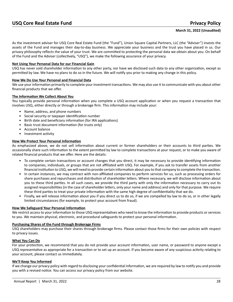<span id="page-30-0"></span>As the investment adviser for USQ Core Real Estate Fund (the "Fund"), Union Square Capital Partners, LLC (the "Adviser") invests the assets of the Fund and manages their day-to-day business. We appreciate your business and the trust you have placed in us. Our privacy philosophy reflects the value of your trust. We are committed to protecting the personal data we obtain about you. On behalf of the Fund and the Adviser (collectively, "USQ"), we make the following assurance of your privacy.

#### **Not Using Your Personal Data for our Financial Gain**

USQ has never sold shareholder information to any other party, nor have we disclosed such data to any other organization, except as permitted by law. We have no plans to do so in the future. We will notify you prior to making any change in this policy.

#### **How We Do Use Your Personal and Financial Data**

We use your information primarily to complete your investment transactions. We may also use it to communicate with you about other financial products that we offer.

#### **The Information We Collect About You**

You typically provide personal information when you complete a USQ account application or when you request a transaction that involves USQ, either directly or through a brokerage firm. This information may include your:

- Name, address, and phone numbers
- Social security or taxpayer identification number
- Birth date and beneficiary information (for IRA applications)
- Basic trust document information (for trusts only)
- Account balance
- Investment activity

#### **How We Protect Your Personal Information**

As emphasized above, we do not sell information about current or former shareholders or their accounts to third parties. We occasionally share such information to the extent permitted by law to complete transactions at your request, or to make you aware of related financial products that we offer. Here are the details:

- To complete certain transactions or account changes that you direct, it may be necessary to provide identifying information to companies, individuals, or groups that are not affiliated with USQ. For example, if you ask to transfer assets from another financial institution to USQ, we will need to provide certain information about you to that company to complete the transaction.
- In certain instances, we may contract with non-affiliated companies to perform services for us, such as processing orders for share purchases and repurchases and distribution of shareholder letters. Where necessary, we will disclose information about you to these third parties. In all such cases, we provide the third party with only the information necessary to carry out its assigned responsibilities (in the case of shareholder letters, only your name and address) and only for that purpose. We require these third parties to treat your private information with the same high degree of confidentiality that we do.
- Finally, we will release information about you if you direct us to do so, if we are compelled by law to do so, or in other legally limited circumstances (for example, to protect your account from fraud).

#### **How We Safeguard Your Personal Information**

We restrict access to your information to those USQ representatives who need to know the information to provide products or services to you. We maintain physical, electronic, and procedural safeguards to protect your personal information.

#### **Purchasing Shares of the Fund through Brokerage Firms**

USQ shareholders may purchase their shares through brokerage firms. Please contact those firms for their own policies with respect to privacy issues.

#### **What You Can Do**

For your protection, we recommend that you do not provide your account information, user name, or password to anyone except a USQ representative as appropriate for a transaction or to set up an account. If you become aware of any suspicious activity relating to your account, please contact us immediately.

#### **We'll Keep You Informed**

If we change our privacy policy with regard to disclosing your confidential information, we are required by law to notify you and provide you with a revised notice. You can access our privacy policy from our website.